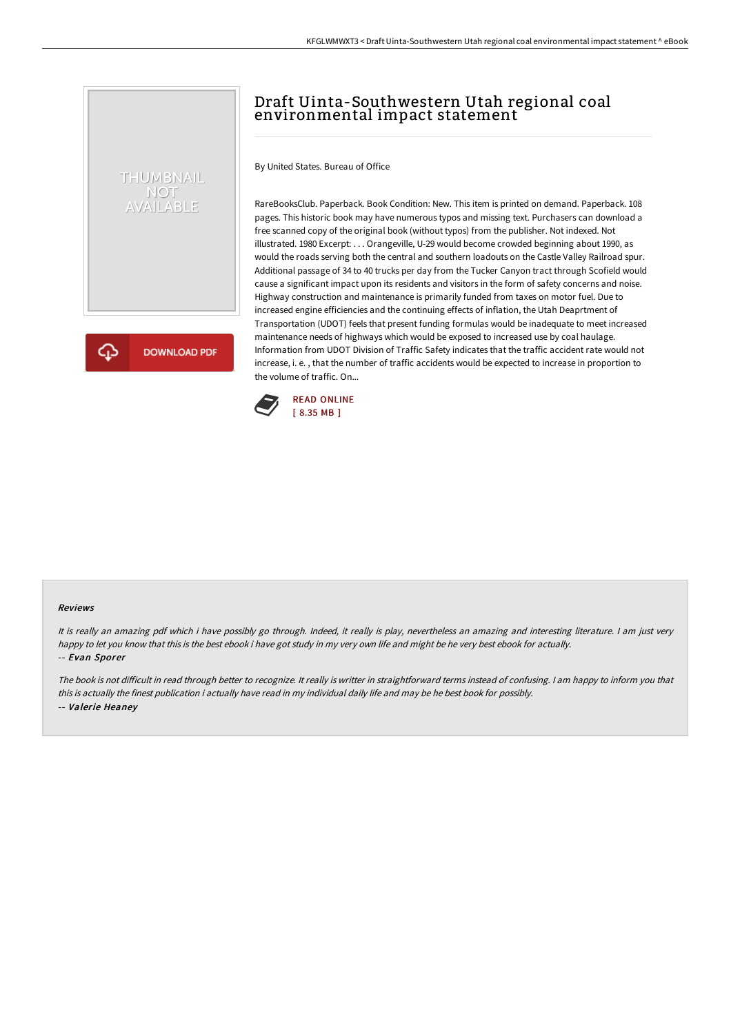## Draft Uinta-Southwestern Utah regional coal environmental impact statement

By United States. Bureau of Office

THUMBNAIL NOT<br>AVAILABLE

**DOWNLOAD PDF** 

RareBooksClub. Paperback. Book Condition: New. This item is printed on demand. Paperback. 108 pages. This historic book may have numerous typos and missing text. Purchasers can download a free scanned copy of the original book (without typos) from the publisher. Not indexed. Not illustrated. 1980 Excerpt: . . . Orangeville, U-29 would become crowded beginning about 1990, as would the roads serving both the central and southern loadouts on the Castle Valley Railroad spur. Additional passage of 34 to 40 trucks per day from the Tucker Canyon tract through Scofield would cause a significant impact upon its residents and visitors in the form of safety concerns and noise. Highway construction and maintenance is primarily funded from taxes on motor fuel. Due to increased engine efficiencies and the continuing effects of inflation, the Utah Deaprtment of Transportation (UDOT) feels that present funding formulas would be inadequate to meet increased maintenance needs of highways which would be exposed to increased use by coal haulage. Information from UDOT Division of Traffic Safety indicates that the traffic accident rate would not increase, i. e. , that the number of traffic accidents would be expected to increase in proportion to the volume of traffic. On...



## Reviews

It is really an amazing pdf which i have possibly go through. Indeed, it really is play, nevertheless an amazing and interesting literature. <sup>I</sup> am just very happy to let you know that this is the best ebook i have got study in my very own life and might be he very best ebook for actually. -- Evan Sporer

The book is not difficult in read through better to recognize. It really is writter in straightforward terms instead of confusing. I am happy to inform you that this is actually the finest publication i actually have read in my individual daily life and may be he best book for possibly. -- Valerie Heaney